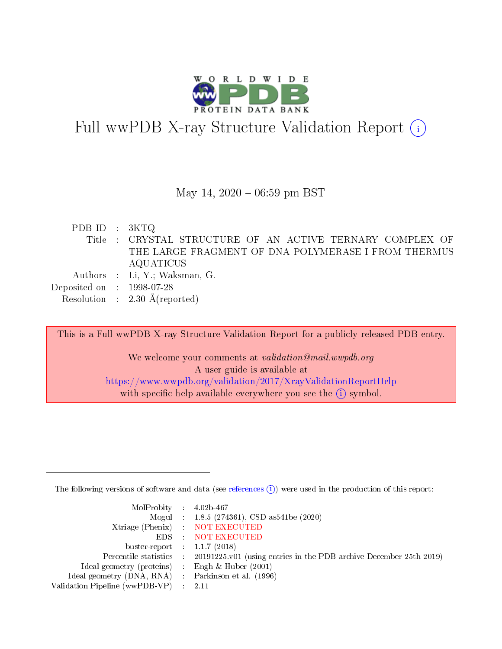

# Full wwPDB X-ray Structure Validation Report  $(i)$

#### May 14,  $2020 - 06:59$  pm BST

PDB ID : 3KTQ Title : CRYSTAL STRUCTURE OF AN ACTIVE TERNARY COMPLEX OF THE LARGE FRAGMENT OF DNA POLYMERASE I FROM THERMUS AQUATICUS Authors : Li, Y.; Waksman, G. Deposited on : 1998-07-28 Resolution : 2.30 Å(reported)

This is a Full wwPDB X-ray Structure Validation Report for a publicly released PDB entry. We welcome your comments at validation@mail.wwpdb.org A user guide is available at <https://www.wwpdb.org/validation/2017/XrayValidationReportHelp>

with specific help available everywhere you see the  $(i)$  symbol.

The following versions of software and data (see [references](https://www.wwpdb.org/validation/2017/XrayValidationReportHelp#references)  $(1)$ ) were used in the production of this report:

| MolProbity : $4.02b-467$                            |                                                                                            |
|-----------------------------------------------------|--------------------------------------------------------------------------------------------|
|                                                     | Mogul : $1.8.5$ (274361), CSD as 541be (2020)                                              |
|                                                     | Xtriage (Phenix) NOT EXECUTED                                                              |
|                                                     | EDS : NOT EXECUTED                                                                         |
| buster-report : $1.1.7(2018)$                       |                                                                                            |
|                                                     | Percentile statistics : 20191225.v01 (using entries in the PDB archive December 25th 2019) |
| Ideal geometry (proteins) :                         | Engh & Huber $(2001)$                                                                      |
| Ideal geometry (DNA, RNA) : Parkinson et al. (1996) |                                                                                            |
| Validation Pipeline (wwPDB-VP)                      | -2.11                                                                                      |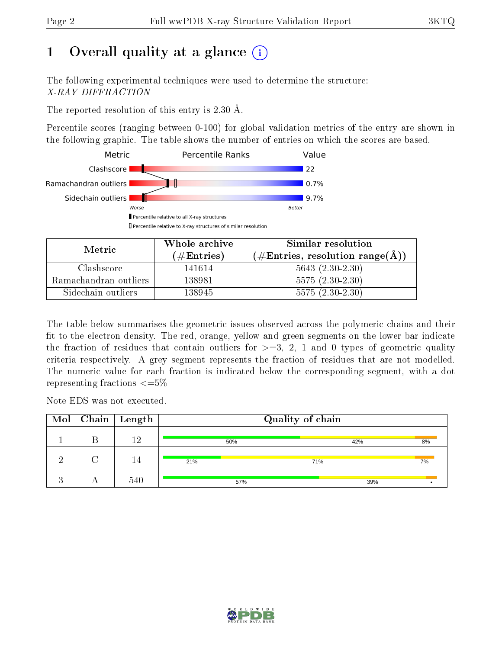# 1 [O](https://www.wwpdb.org/validation/2017/XrayValidationReportHelp#overall_quality)verall quality at a glance  $(i)$

The following experimental techniques were used to determine the structure: X-RAY DIFFRACTION

The reported resolution of this entry is 2.30 Å.

Percentile scores (ranging between 0-100) for global validation metrics of the entry are shown in the following graphic. The table shows the number of entries on which the scores are based.



| Metric                | Whole archive<br>$(\#\text{Entries})$ | Similar resolution<br>$(\text{\#Entries, resolution range}(\text{\AA}))$ |
|-----------------------|---------------------------------------|--------------------------------------------------------------------------|
| Clashscore            | 141614                                | $5643 (2.30-2.30)$                                                       |
| Ramachandran outliers | 138981                                | $5575(2.30-2.30)$                                                        |
| Sidechain outliers    | 138945                                | $5575(2.30-2.30)$                                                        |

The table below summarises the geometric issues observed across the polymeric chains and their fit to the electron density. The red, orange, yellow and green segments on the lower bar indicate the fraction of residues that contain outliers for  $\geq=3$ , 2, 1 and 0 types of geometric quality criteria respectively. A grey segment represents the fraction of residues that are not modelled. The numeric value for each fraction is indicated below the corresponding segment, with a dot representing fractions  $\leq=5\%$ 

Note EDS was not executed.

|          | $\overline{\text{Mol}}$   Chain   Length | Quality of chain |     |     |     |       |
|----------|------------------------------------------|------------------|-----|-----|-----|-------|
|          | ၊ ၇                                      |                  | 50% |     | 42% | $8\%$ |
| $\Omega$ | 14                                       | 21%              |     | 71% |     | 7%    |
|          | 540                                      |                  | 57% |     | 39% |       |

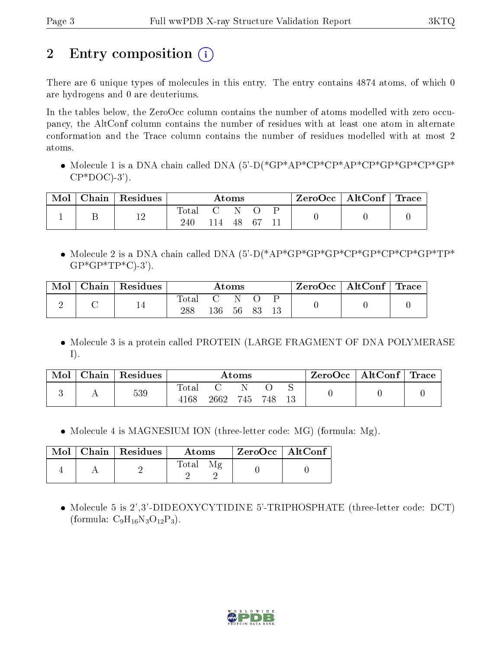# 2 Entry composition  $\left( \cdot \right)$

There are 6 unique types of molecules in this entry. The entry contains 4874 atoms, of which 0 are hydrogens and 0 are deuteriums.

In the tables below, the ZeroOcc column contains the number of atoms modelled with zero occupancy, the AltConf column contains the number of residues with at least one atom in alternate conformation and the Trace column contains the number of residues modelled with at most 2 atoms.

• Molecule 1 is a DNA chain called DNA (5'-D(\*GP\*AP\*CP\*CP\*AP\*CP\*GP\*GP\*CP\*GP\*  $CP*DOC$ )-3').

| Mol | $Chain   Residues$ | $\rm{Atoms}$           |     |    | $\rm{ZeroOcc}$   $\rm{AltConf}$   $\rm{Trace}$ |  |  |  |
|-----|--------------------|------------------------|-----|----|------------------------------------------------|--|--|--|
|     | 12                 | $\rm Total$<br>$240\,$ | 114 | 48 | . 67                                           |  |  |  |

• Molecule 2 is a DNA chain called DNA  $(5)-D(*AP*GP*GP*CP*CP*CP*CP*CP*CP*CP*TP*$  $GP*GP*TP*C$ -3').

| Mol | $\mathbf{Chain}^+$ | $\mathsf{Residues}$ | $\rm{Atoms}$ |     |    | $\rm ZeroOcc$   AltConf   Trace |  |  |  |
|-----|--------------------|---------------------|--------------|-----|----|---------------------------------|--|--|--|
|     |                    |                     | Total<br>288 | 136 | 56 |                                 |  |  |  |

• Molecule 3 is a protein called PROTEIN (LARGE FRAGMENT OF DNA POLYMERASE I).

| Mol | Chain | Residues | $\rm{Atoms}$  |      |     |     | $\rm ZeroOcc$ | AltConf | $^+$ Trace |  |
|-----|-------|----------|---------------|------|-----|-----|---------------|---------|------------|--|
|     |       | 539      | Total<br>4168 | 2662 | 745 | 748 |               |         |            |  |

• Molecule 4 is MAGNESIUM ION (three-letter code: MG) (formula: Mg).

|  | $\text{Mol}$   Chain   Residues | Atoms                           | ZeroOcc   AltConf |  |
|--|---------------------------------|---------------------------------|-------------------|--|
|  |                                 | Total<br>$\mathcal{M}$ $\sigma$ |                   |  |

 Molecule 5 is 2',3'-DIDEOXYCYTIDINE 5'-TRIPHOSPHATE (three-letter code: DCT) (formula:  $C_9H_{16}N_3O_{12}P_3$ ).

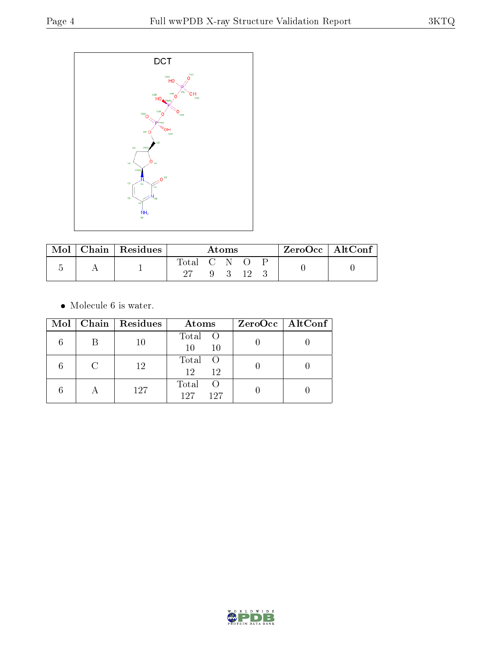

| Mol | Chain $\sqrt{\text{Residues}}$ | Atoms       |  |  | $ZeroOcc \mid AltConf \mid$ |  |  |
|-----|--------------------------------|-------------|--|--|-----------------------------|--|--|
|     |                                | Total C N O |  |  | - 12                        |  |  |

 $\bullet\,$  Molecule 6 is water.

|           | $Mol$   Chain   Residues | Atoms                               | $ZeroOcc \   \ AltConf \  $ |
|-----------|--------------------------|-------------------------------------|-----------------------------|
| В         | 10                       | Total O<br>10<br>10                 |                             |
|           | 12                       | Total<br>$\overline{O}$<br>12<br>12 |                             |
| $\forall$ | 127                      | Total<br>- ( )<br>127<br>197        |                             |

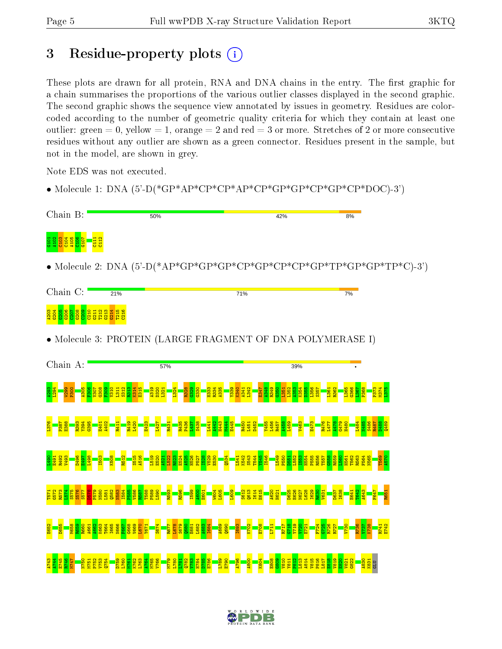## 3 Residue-property plots  $(i)$

These plots are drawn for all protein, RNA and DNA chains in the entry. The first graphic for a chain summarises the proportions of the various outlier classes displayed in the second graphic. The second graphic shows the sequence view annotated by issues in geometry. Residues are colorcoded according to the number of geometric quality criteria for which they contain at least one outlier: green  $= 0$ , yellow  $= 1$ , orange  $= 2$  and red  $= 3$  or more. Stretches of 2 or more consecutive residues without any outlier are shown as a green connector. Residues present in the sample, but not in the model, are shown in grey.

Note EDS was not executed.

• Molecule 1: DNA  $(5'-D(*GP*AP*CP*CP*AP*CP*GP*GP*GP*CP*CP*CP*CP*DDC)-3')$ 



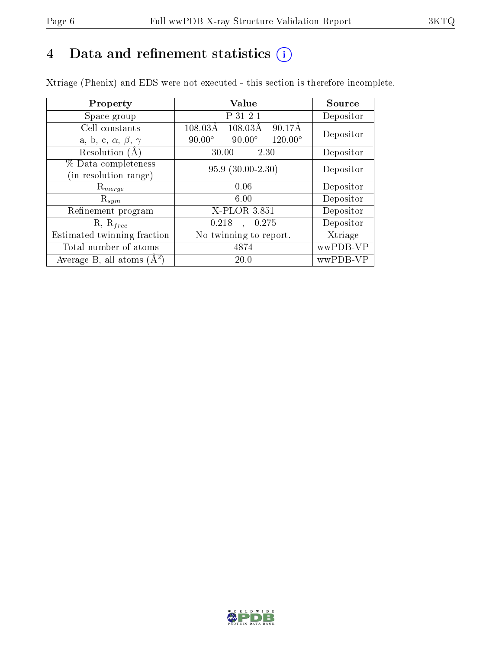# 4 Data and refinement statistics  $(i)$

Xtriage (Phenix) and EDS were not executed - this section is therefore incomplete.

| Property                               | <b>Value</b>                                       | Source    |  |
|----------------------------------------|----------------------------------------------------|-----------|--|
| Space group                            | P 31 2 1                                           | Depositor |  |
| Cell constants                         | $108.03\text{\AA}$<br>90.17Å<br>$108.03\text{\AA}$ | Depositor |  |
| a, b, c, $\alpha$ , $\beta$ , $\gamma$ | $120.00^\circ$<br>$90.00^\circ$<br>$90.00^\circ$   |           |  |
| Resolution (A                          | 30.00<br>$-2.30$                                   | Depositor |  |
| % Data completeness                    | $95.9(30.00-2.30)$                                 | Depositor |  |
| (in resolution range)                  |                                                    |           |  |
| $\mathrm{R}_{merge}$                   | 0.06                                               | Depositor |  |
| $\mathrm{R}_{sym}$                     | 6.00                                               | Depositor |  |
| Refinement program                     | X-PLOR 3.851                                       | Depositor |  |
| $R, R_{free}$                          | 0.218<br>, 0.275                                   | Depositor |  |
| Estimated twinning fraction            | No twinning to report.                             | Xtriage   |  |
| Total number of atoms                  | 4874                                               | wwPDB-VP  |  |
| Average B, all atoms $(A^2)$           | 20.0                                               | wwPDB-VP  |  |

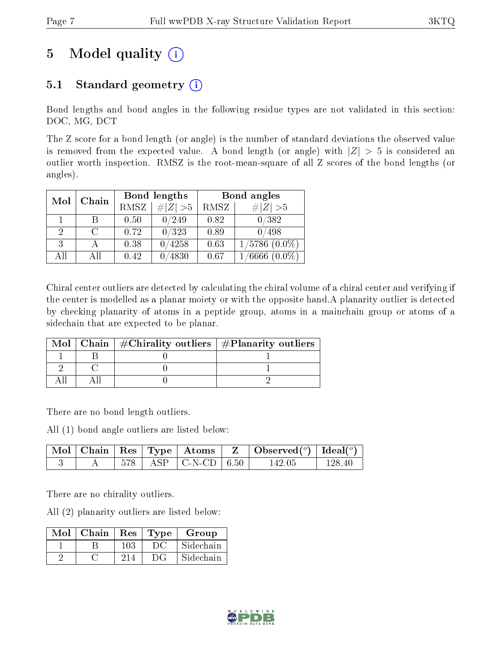# 5 Model quality  $(i)$

## 5.1 Standard geometry  $(i)$

Bond lengths and bond angles in the following residue types are not validated in this section: DOC, MG, DCT

The Z score for a bond length (or angle) is the number of standard deviations the observed value is removed from the expected value. A bond length (or angle) with  $|Z| > 5$  is considered an outlier worth inspection. RMSZ is the root-mean-square of all Z scores of the bond lengths (or angles).

| Mol | Chain |             | Bond lengths   | Bond angles |                    |  |
|-----|-------|-------------|----------------|-------------|--------------------|--|
|     |       | <b>RMSZ</b> | $\# Z  > 5$    | RMSZ        | # Z  > 5           |  |
|     |       | 0.50        | $^{\prime}249$ | 0.82        | 0/382              |  |
| 2   |       | 0.72        | 0/323          | 0.89        | 0/498              |  |
| 3   |       | 0.38        | 0/4258         | 0.63        | $1/5786$ $(0.0\%)$ |  |
| AH  | ΑII   | 0.42        | $\sqrt{4830}$  | 0.67        | 6666               |  |

Chiral center outliers are detected by calculating the chiral volume of a chiral center and verifying if the center is modelled as a planar moiety or with the opposite hand.A planarity outlier is detected by checking planarity of atoms in a peptide group, atoms in a mainchain group or atoms of a sidechain that are expected to be planar.

|  | Mol   Chain   $\#\text{Chirality outliers}$   $\#\text{Planarity outliers}$ |
|--|-----------------------------------------------------------------------------|
|  |                                                                             |
|  |                                                                             |
|  |                                                                             |

There are no bond length outliers.

All (1) bond angle outliers are listed below:

|  |  |                                                             | $\vert$ Mol $\vert$ Chain $\vert$ Res $\vert$ Type $\vert$ Atoms $\vert$ Z $\vert$ Observed $(^\circ)$ Ideal $(^\circ)$ |        |
|--|--|-------------------------------------------------------------|-------------------------------------------------------------------------------------------------------------------------|--------|
|  |  | $\vert$ 578 $\vert$ ASP $\vert$ C-N-CD $\vert$ 6.50 $\vert$ | 142.05                                                                                                                  | 128.40 |

There are no chirality outliers.

All (2) planarity outliers are listed below:

| Mol | $\mid$ Chain | $\vert$ Res | Type   | Group     |
|-----|--------------|-------------|--------|-----------|
|     |              | 103         | $\cup$ | Sidechain |
|     |              |             | DG     | Sidechain |

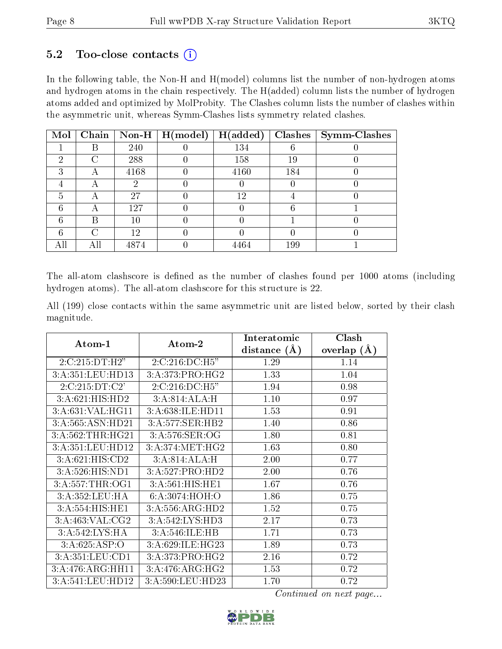### $5.2$  Too-close contacts  $(i)$

In the following table, the Non-H and H(model) columns list the number of non-hydrogen atoms and hydrogen atoms in the chain respectively. The H(added) column lists the number of hydrogen atoms added and optimized by MolProbity. The Clashes column lists the number of clashes within the asymmetric unit, whereas Symm-Clashes lists symmetry related clashes.

| Mol |   |        | Chain   Non-H   $H (model)$ | H(added) |     | $Clashes$   Symm-Clashes |
|-----|---|--------|-----------------------------|----------|-----|--------------------------|
|     | R | 240    |                             | 134      |     |                          |
| 2   | ⌒ | 288    |                             | 158      | 19  |                          |
| 3   | А | 4168   |                             | 4160     | 184 |                          |
|     | А | ٠,     |                             |          |     |                          |
| 5   | A | 27     |                             | 12       |     |                          |
| հ   |   | 127    |                             |          |     |                          |
| հ   | В | $10\,$ |                             |          |     |                          |
| հ   |   | 12     |                             |          |     |                          |
|     |   | 4874   |                             | 4464     | 199 |                          |

The all-atom clashscore is defined as the number of clashes found per 1000 atoms (including hydrogen atoms). The all-atom clashscore for this structure is 22.

All (199) close contacts within the same asymmetric unit are listed below, sorted by their clash magnitude.

|                              |                   | Interatomic      | Clash         |
|------------------------------|-------------------|------------------|---------------|
| Atom-1                       | Atom-2            | distance $(\AA)$ | overlap $(A)$ |
| 2:C:215:DT:H2"               | 2:C:216:DC:H5"    | 1.29             | 1.14          |
| 3:A:351:LEU:HD13             | 3:A:373:PRO:HG2   | 1.33             | 1.04          |
| 2:C:215:DT:C2'               | 2:C:216:DC:H5"    | 1.94             | 0.98          |
| $3:A:621:HIS:\overline{HD2}$ | 3:A:814:ALA:H     | 1.10             | 0.97          |
| 3:A:631:VAL:HG11             | 3:A:638:ILE:HD11  | 1.53             | 0.91          |
| 3:A:565:ASN:HD21             | 3:A:577:SER:HB2   | 1.40             | 0.86          |
| 3:A:562:THR:HG21             | 3:A:576:SER:OG    | 1.80             | 0.81          |
| 3:A:351:LEU:HD12             | 3: A:374:MET:HG2  | 1.63             | 0.80          |
| 3:A:621:HIS:CD2              | 3:A:814:ALA:H     | 2.00             | 0.77          |
| 3:A:526:HIS:ND1              | 3:A:527:PRO:HD2   | 2.00             | 0.76          |
| 3: A: 557: THR: OG1          | 3:A:561:HIS:HE1   | 1.67             | 0.76          |
| 3:A:352:LEU:HA               | 6:A:3074:HOH:O    | 1.86             | 0.75          |
| 3:A:554:HIS:HE1              | 3:A:556:ARG:HD2   | 1.52             | 0.75          |
| 3:A:463:VAL:CG2              | 3:A:542:LYS:HD3   | 2.17             | 0.73          |
| 3:A:542:LYS:HA               | 3:A:546:ILE:HB    | 1.71             | 0.73          |
| 3:A:625:ASP:O                | 3:A:629:ILE:HG23  | 1.89             | 0.73          |
| 3:A:351:LEU:CD1              | 3:A:373:PRO:HG2   | 2.16             | 0.72          |
| 3:A:476:ARG:HH11             | 3: A:476: ARG:HG2 | 1.53             | 0.72          |
| 3:A:541:LEU:HD12             | 3:A:590:LEU:HD23  | 1.70             | 0.72          |

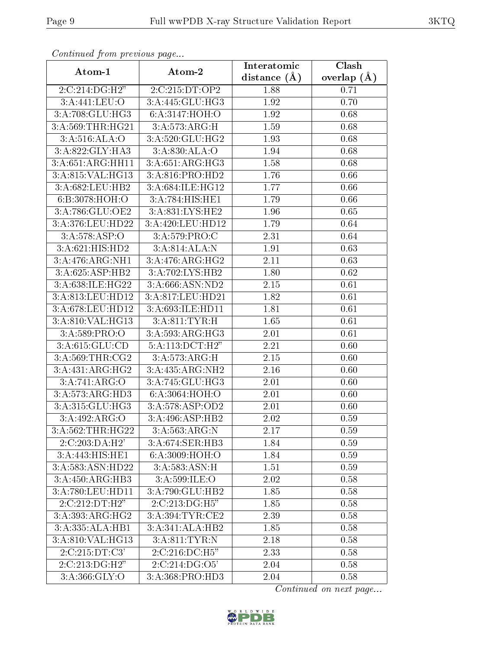| Conningea from previous page |                                     | Interatomic      | Clash         |
|------------------------------|-------------------------------------|------------------|---------------|
| Atom-1                       | Atom-2                              | distance $(\AA)$ | overlap $(A)$ |
| 2:C:214:DG:H2"               | 2:C:215:DT:OP2                      | 1.88             | 0.71          |
| 3:A:441:LEU:O                | 3:A:445:GLU:HG3                     | 1.92             | 0.70          |
| 3:A:708:GLU:HG3              | 6:A:3147:HOH:O                      | 1.92             | 0.68          |
| 3:A:569:THR:HG21             | 3:A:573:ARG:H                       | 1.59             | 0.68          |
| $3:\overline{A:516:ALA:O}$   | 3:A:520:GLU:HG2                     | 1.93             | 0.68          |
| 3:A:822:GLY:HA3              | 3: A:830: ALA:O                     | 1.94             | 0.68          |
| 3:A:651:ARG:HH11             | 3: A:651: ARG:HG3                   | 1.58             | 0.68          |
| 3:A:815:VAL:HG13             | 3:A:816:PRO:HD2                     | 1.76             | 0.66          |
| 3:A:682:LEU:HB2              | 3:A:684:ILE:HG12                    | 1.77             | 0.66          |
| 6:B:3078:HOH:O               | 3:A:784:HIS:HE1                     | 1.79             | 0.66          |
| 3:A:786:GLU:OE2              | 3:A:831:LYS:HE2                     | 1.96             | 0.65          |
| 3:A:376:LEU:HD22             | 3:A:420:LEU:HD12                    | 1.79             | 0.64          |
| 3:A:578:ASP:O                | 3:A:579:PRO:C                       | 2.31             | 0.64          |
| $3:A:621:HIS:\overline{HD2}$ | 3:A:814:ALA:N                       | 1.91             | 0.63          |
| $3:A:476:ARG:N\overline{H1}$ | 3:A:476:ARG:HG2                     | 2.11             | 0.63          |
| 3:A:625:ASP:HB2              | 3:A:702:LYS:HB2                     | 1.80             | 0.62          |
| 3:A:638:ILE:HG22             | 3:A:666:ASN:ND2                     | 2.15             | 0.61          |
| 3:A:813:LEU:HD12             | 3:A:817:LEU:HD21                    | 1.82             | 0.61          |
| 3:A:678:LEU:HD12             | 3:A:693:ILE:HD11                    | 1.81             | 0.61          |
| 3:A:810:VAL:HG13             | 3:A:811:TYR:H                       | 1.65             | 0.61          |
| 3:A:589:PRO:O                | 3: A:593:ARG:HG3                    | 2.01             | 0.61          |
| 3:A:615:GLU:CD               | 5:A:113:DCT:H2"                     | 2.21             | 0.60          |
| 3:A:569:THR:CG2              | 3:A:573:ARG:H                       | 2.15             | 0.60          |
| 3:A:431:ARG:HG2              | 3:A:435:ARG:NH2                     | 2.16             | 0.60          |
| 3:A:741:ARG:O                | 3:A:745:GLU:HG3                     | 2.01             | 0.60          |
| 3:A:573:ARG:HD3              | 6:A:3064:HOH:O                      | 2.01             | 0.60          |
| 3:A:315:GLU:HG3              | 3:A:578:ASP:OD2                     | $2.01\,$         | 0.60          |
| 3:A:492:ARG:O                | 3:A:496:ASP:HB2                     | 2.02             | 0.59          |
| 3:A:562:THR:HG22             | 3:A:563:ARG:N                       | 2.17             | 0.59          |
| 2:C:203:DA:H2'               | 3:A:674:SER:HB3                     | 1.84             | 0.59          |
| 3:A:443:HIS:HE1              | 6: A:3009:HOH:O                     | 1.84             | 0.59          |
| 3:A:583:ASN:HD22             | 3:A:583:ASN:H                       | 1.51             | 0.59          |
| 3:A:450:ARG:HB3              | 3: A:599: ILE: O                    | 2.02             | 0.58          |
| 3:A:780:LEU:HD11             | 3:A:790:GLU:HB2                     | 1.85             | 0.58          |
| 2:C:212:DT:H2"               | 2:C:213:DG:H5"                      | 1.85             | 0.58          |
| 3:A:393:ARG:HG2              | $3:A:394:TYR:\overline{\text{CE2}}$ | 2.39             | 0.58          |
| 3:A:335:ALA:HB1              | 3:A:341:ALA:HB2                     | 1.85             | 0.58          |
| 3:A:810:VAL:HG13             | 3:A:811:TYR:N                       | 2.18             | 0.58          |
| 2:C:215:DT:C3'               | 2:C:216:DC:H5"                      | 2.33             | 0.58          |
| 2:C:213:DG:H2"               | 2: C: 214: DG: O5'                  | 2.04             | 0.58          |
| 3:A:366:GLY:O                | 3:A:368:PRO:HD3                     | 2.04             | 0.58          |

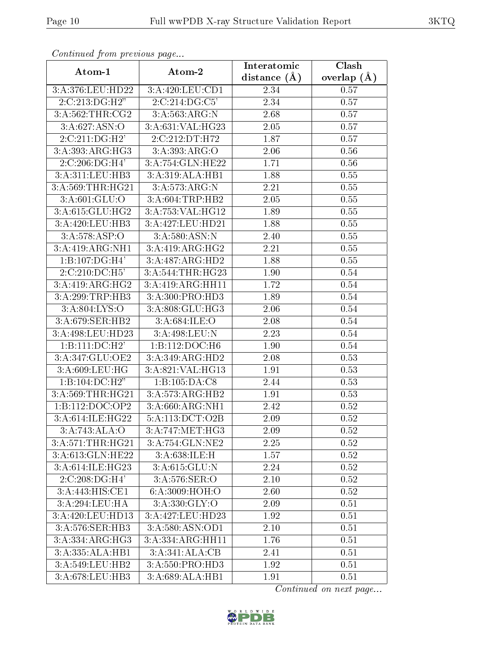| Continuea jiom previous page |                  | Interatomic      | Clash         |
|------------------------------|------------------|------------------|---------------|
| Atom-1                       | Atom-2           | distance $(\AA)$ | overlap $(A)$ |
| 3:A:376:LEU:HD22             | 3:A:420:LEU:CD1  | 2.34             | 0.57          |
| 2:C:213:DG:H2"               | 2:C:214:DG:C5'   | 2.34             | 0.57          |
| 3:A:562:THR:CG2              | 3:A:563:ARG:N    | 2.68             | 0.57          |
| 3:A:627:ASN:O                | 3:A:631:VAL:HG23 | 2.05             | 0.57          |
| 2:C:211:DG:H2'               | 2:C:212:DT:H72   | 1.87             | 0.57          |
| 3:A:393:ARG:HG3              | 3:A:393:ARG:O    | 2.06             | 0.56          |
| 2:C:206:DG:H4'               | 3:A:754:GLN:HE22 | 1.71             | 0.56          |
| 3:A:311:LEU:HB3              | 3:A:319:ALA:HB1  | 1.88             | 0.55          |
| 3:A:569:THR:HG21             | 3:A:573:ARG:N    | 2.21             | 0.55          |
| 3: A:601: GLU:O              | 3:A:604:TRP:HB2  | 2.05             | 0.55          |
| 3:A:615:GLU:HG2              | 3:A:753:VAL:HG12 | 1.89             | 0.55          |
| 3:A:420:LEU:HB3              | 3:A:427:LEU:HD21 | 1.88             | 0.55          |
| 3:A:578:ASP:O                | 3: A:580: ASN: N | 2.40             | 0.55          |
| 3:A:419:ARG:NH1              | 3:A:419:ARG:HG2  | 2.21             | 0.55          |
| $1:B:107:DG:\overline{H4'}$  | 3:A:487:ARG:HD2  | 1.88             | 0.55          |
| 2:C:210:DC:H5'               | 3:A:544:THR:HG23 | 1.90             | $0.54\,$      |
| 3:A:419:ARG:HG2              | 3:A:419:ARG:HH11 | 1.72             | $0.54\,$      |
| 3:A:299:TRP:HB3              | 3:A:300:PRO:HD3  | 1.89             | 0.54          |
| 3:A:804:LYS:O                | 3:A:808:GLU:HG3  | 2.06             | 0.54          |
| 3:A:679:SER:HB2              | 3: A:684: ILE: O | 2.08             | 0.54          |
| 3:A:498:LEU:HD23             | 3:A:498:LEU:N    | 2.23             | 0.54          |
| 1:B:111:DC:H2'               | 1:B:112:DOC:H6   | 1.90             | 0.54          |
| 3:A:347:GLU:OE2              | 3:A:349:ARG:HD2  | 2.08             | 0.53          |
| 3:A:609:LEU:HG               | 3:A:821:VAL:HG13 | 1.91             | 0.53          |
| 1:B:104:DC:H2"               | 1:B:105:DA:C8    | 2.44             | 0.53          |
| 3:A:569:THR:HG21             | 3:A:573:ARG:HB2  | 1.91             | 0.53          |
| 1:B:112:DOC:OP2              | 3:A:660:ARG:NH1  | 2.42             | 0.52          |
| 3:A:614:ILE:HG22             | 5:A:113:DCT:O2B  | 2.09             | 0.52          |
| 3:A:743:ALA:O                | 3:A:747:MET:HG3  | 2.09             | 0.52          |
| 3:A:571:THR:HG21             | 3:A:754:GLN:NE2  | 2.25             | 0.52          |
| 3:A:613:GLN:HE22             | 3:A:638:ILE:H    | 1.57             | 0.52          |
| 3:A:614:ILE:HG23             | 3:A:615:GLU:N    | 2.24             | 0.52          |
| 2:C:208:DG:H4'               | 3: A:576: SER: O | 2.10             | 0.52          |
| $3:A:44\overline{3:HIS:CE1}$ | 6:A:3009:HOH:O   | 2.60             | 0.52          |
| 3:A:294:LEU:HA               | 3: A:330: GLY:O  | 2.09             | 0.51          |
| 3:A:420:LEU:HD13             | 3:A:427:LEU:HD23 | 1.92             | 0.51          |
| 3:A:576:SER:HB3              | 3:A:580:ASN:OD1  | 2.10             | 0.51          |
| $3:A:334:AR\overline{G:HG3}$ | 3:A:334:ARG:HH11 | 1.76             | 0.51          |
| 3:A:335:ALA:HB1              | 3:A:341:ALA:CB   | 2.41             | 0.51          |
| 3:A:549:LEU:HB2              | 3:A:550:PRO:HD3  | 1.92             | 0.51          |
| 3:A:678:LEU:HB3              | 3:A:689:ALA:HB1  | 1.91             | 0.51          |

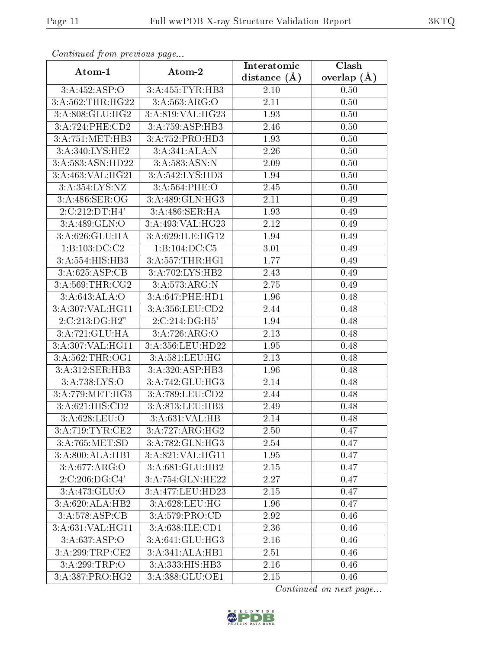| сонинией јтот ртеоючъ раде |                    | Interatomic    | Clash         |
|----------------------------|--------------------|----------------|---------------|
| Atom-1                     | Atom-2             | distance $(A)$ | overlap $(A)$ |
| 3:A:452:ASP:O              | 3:A:455:TYR:HB3    | 2.10           | 0.50          |
| 3:A:562:THR:HG22           | 3:A:563:ARG:O      | 2.11           | 0.50          |
| 3:A:808:GLU:HG2            | 3:A:819:VAL:HG23   | 1.93           | 0.50          |
| 3:A:724:PHE:CD2            | 3:A:759:ASP:HB3    | 2.46           | 0.50          |
| 3:A:751:MET:HB3            | 3:A:752:PRO:HD3    | 1.93           | 0.50          |
| 3:A:340:LYS:HE2            | 3:A:341:ALA:N      | 2.26           | 0.50          |
| 3:A:583:ASN:HD22           | 3: A: 583: ASN: N  | 2.09           | 0.50          |
| 3:A:463:VAL:HG21           | 3:A:542:LYS:HD3    | 1.94           | 0.50          |
| 3:A:354:LYS:NZ             | 3:A:564:PHE:O      | 2.45           | 0.50          |
| 3:A:486:SER:OG             | 3:A:489:GLN:HG3    | 2.11           | 0.49          |
| 2:C:212:DT:H4'             | 3:A:486:SER:HA     | 1.93           | 0.49          |
| 3:A:489:GLN:O              | 3:A:493:VAL:HG23   | 2.12           | 0.49          |
| 3:A:626:GLU:HA             | 3:A:629:ILE:HG12   | 1.94           | 0.49          |
| 1:B:103:DC:C2              | 1:B:104:DC:C5      | 3.01           | 0.49          |
| 3:A:554:HIS:HB3            | 3:A:557:THR:HG1    | 1.77           | 0.49          |
| 3:A:625:ASP:CB             | 3:A:702:LYS:HB2    | 2.43           | 0.49          |
| 3:A:569:THR:CG2            | 3:A:573:ARG:N      | 2.75           | 0.49          |
| 3: A:643:ALA:O             | 3:A:647:PHE:HD1    | 1.96           | 0.48          |
| 3:A:307:VAL:HG11           | 3:A:356:LEU:CD2    | 2.44           | 0.48          |
| 2:C:213:DG:H2"             | 2:C:214:DG:H5'     | 1.94           | 0.48          |
| 3:A:721:GLU:HA             | 3:A:726:ARG:O      | 2.13           | 0.48          |
| 3:A:307:VAL:HG11           | 3:A:356:LEU:HD22   | 1.95           | 0.48          |
| 3:A:562:THR:OG1            | 3:A:581:LEU:HG     | 2.13           | 0.48          |
| 3:A:312:SER:HB3            | 3:A:320:ASP:HB3    | 1.96           | 0.48          |
| 3:A:738:LYS:O              | 3:A:742:GLU:HG3    | 2.14           | 0.48          |
| 3:A:779:MET:HG3            | 3:A:789:LEU:CD2    | 2.44           | 0.48          |
| 3:A:621:HIS:CD2            | 3:A:813:LEU:HB3    | 2.49           | 0.48          |
| 3:A:628:LEU:O              | 3:A:631:VAL:HB     | 2.14           | 0.48          |
| 3:A:719:TYR:CE2            | 3:A:727:ARG:HG2    | 2.50           | 0.47          |
| 3:A:765:MET:SD             | 3:A:782:GLN:HG3    | 2.54           | 0.47          |
| 3:A:800:ALA:HB1            | 3: A:821: VAL:HGI1 | 1.95           | 0.47          |
| 3:A:677:ARG:O              | 3:A:681:GLU:HB2    | 2.15           | 0.47          |
| 2.C.206:DG.C4'             | 3:A:754:GLN:HE22   | 2.27           | 0.47          |
| 3:A:473:GLU:O              | 3:A:477:LEU:HD23   | 2.15           | 0.47          |
| 3:A:620:ALA:HB2            | 3: A:628: LEU: HG  | 1.96           | 0.47          |
| 3:A:578:ASP:CB             | 3:A:579:PRO:CD     | 2.92           | 0.46          |
| 3:A:631:VAL:HG11           | 3: A:638: ILE: CD1 | 2.36           | 0.46          |
| 3:A:637:ASP:O              | 3:A:641:GLU:HG3    | 2.16           | 0.46          |
| 3:A:299:TRP:CE2            | 3:A:341:ALA:HB1    | 2.51           | 0.46          |
| 3:A:299:TRP:O              | 3:A:333:H1S:HB3    | 2.16           | 0.46          |
| 3:A:387:PRO:HG2            | 3:A:388:GLU:OE1    | 2.15           | 0.46          |

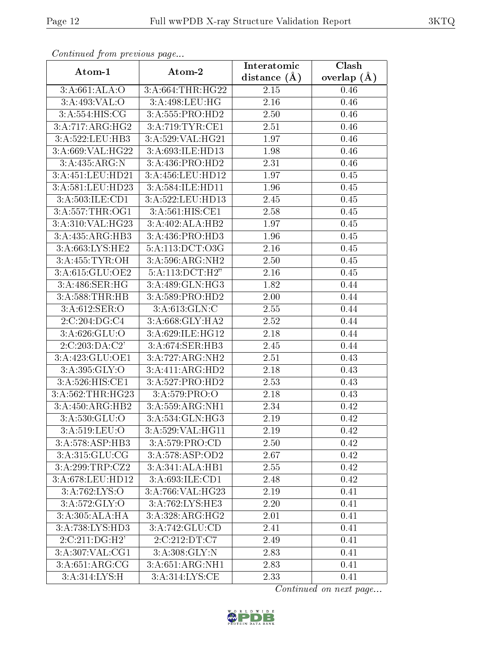| Continuati pont previous page |                              | Interatomic       | Clash         |
|-------------------------------|------------------------------|-------------------|---------------|
| Atom-1                        | Atom-2                       | distance $(A)$    | overlap $(A)$ |
| 3:A:661:ALA:O                 | 3:A:664:THR:HG22             | 2.15              | 0.46          |
| 3:A:493:VAL:O                 | 3:A:498:LEU:HG               | 2.16              | 0.46          |
| 3: A:554: HIS: CG             | 3:A:555:PRO:HD2              | 2.50              | 0.46          |
| 3:A:717:ARG:HG2               | 3:A:719:TYR:CE1              | 2.51              | 0.46          |
| 3:A:522:LEU:HB3               | 3:A:529:VAL:HG21             | 1.97              | 0.46          |
| 3:A:669:VAL:HG22              | 3:A:693:ILE:HD13             | 1.98              | 0.46          |
| 3:A:435:ARG:N                 | 3:A:436:PRO:HD2              | $\overline{2}.31$ | 0.46          |
| 3:A:451:LEU:HD21              | 3:A:456:LEU:HD12             | 1.97              | 0.45          |
| 3:A:581:LEU:HD23              | 3:A:584:ILE:HD11             | 1.96              | 0.45          |
| 3:A:503:ILE:CD1               | 3:A:522:LEU:HD13             | 2.45              | 0.45          |
| 3:A:557:THR:OG1               | 3:A:561:HIS:CE1              | 2.58              | 0.45          |
| 3:A:310:VAL:HG23              | 3:A:402:ALA:HB2              | 1.97              | 0.45          |
| 3:A:435:ARG:HB3               | 3:A:436:PRO:HD3              | 1.96              | 0.45          |
| 3:A:663:LYS:HE2               | 5:A:113:DCT:O3G              | 2.16              | 0.45          |
| 3:A:455:TYR:OH                | 3:A:596:ARG:NH2              | 2.50              | 0.45          |
| 3:A:615:GLU:OE2               | 5:A:113:DCT:H2"              | 2.16              | 0.45          |
| 3:A:486:SER:HG                | 3:A:489:GLN:HG3              | 1.82              | 0.44          |
| 3:A:588:THR:HB                | 3:A:589:PRO:HD2              | 2.00              | 0.44          |
| 3:A:612:SER:O                 | 3:A:613:GLN:C                | 2.55              | 0.44          |
| 2:C:204:DG:C4                 | 3:A:668:GLY:HA2              | 2.52              | 0.44          |
| 3:A:626:GLU:O                 | 3:A:629:ILE:HG12             | 2.18              | 0.44          |
| 2:C:203:DA:C2'                | 3:A:674:SER:HB3              | $\overline{2}.45$ | 0.44          |
| 3:A:423:GLU:OE1               | 3:A:727:ARG:NH2              | 2.51              | 0.43          |
| 3: A:395: GLY:O               | $3:A:411:AR\overline{G:HD2}$ | 2.18              | 0.43          |
| 3: A:526: HIS: CE1            | 3:A:527:PRO:HD2              | 2.53              | 0.43          |
| 3:A:562:THR:HG23              | 3: A: 579: PRO: O            | 2.18              | 0.43          |
| 3:A:450:ARG:HB2               | 3:A:559:ARG:NH1              | 2.34              | 0.42          |
| 3:A:530:GLU:O                 | 3:A:534:GLN:HG3              | 2.19              | 0.42          |
| 3: A:519: LEU:O               | 3:A:529:VAL:HG11             | 2.19              | 0.42          |
| 3:A:578:ASP:HB3               | 3:A:579:PRO:CD               | 2.50              | 0.42          |
| 3:A:315:GLU:CG                | 3:A:578:ASP:OD2              | 2.67              | 0.42          |
| 3:A:299:TRP:CZ2               | 3:A:341:ALA:HB1              | 2.55              | 0.42          |
| 3:A:678:LEU:HD12              | 3:A:693:ILE:CD1              | 2.48              | 0.42          |
| 3:A:762:LYS:O                 | 3:A:766:VAL:HG23             | 2.19              | 0.41          |
| 3:A:572:GLY:O                 | 3:A:762:LYS:HE3              | 2.20              | 0.41          |
| 3:A:305:ALA:HA                | 3:A:328:ARG:HG2              | 2.01              | 0.41          |
| 3:A:738:LYS:HD3               | 3:A:742:GLU:CD               | 2.41              | 0.41          |
| 2:C:211:DG:H2'                | 2:C:212:DT:C7                | 2.49              | 0.41          |
| 3:A:307:VAL:CG1               | 3:A:308:GLY:N                | 2.83              | 0.41          |
| $3:A:651:ARG:\overline{CG}$   | 3:A:651:ARG:NH1              | 2.83              | 0.41          |
| 3:A:314:LYS:H                 | 3: A:314: LYS: CE            | 2.33              | 0.41          |

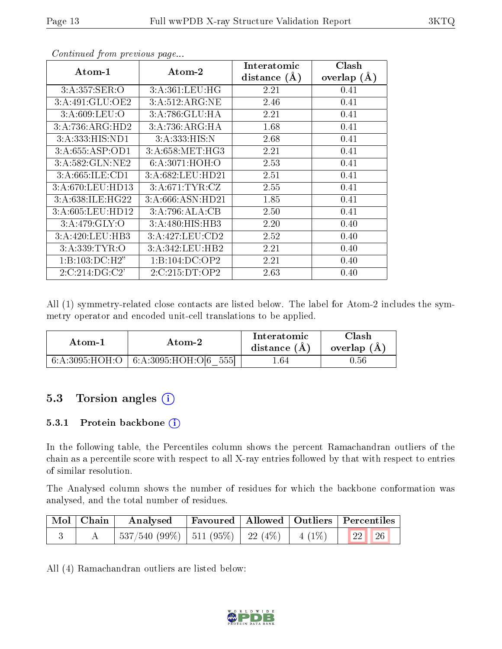| Atom-1           | Atom-2           | Interatomic    | Clash         |
|------------------|------------------|----------------|---------------|
|                  |                  | distance $(A)$ | overlap $(A)$ |
| 3:A:357:SER:O    | 3: A:361:LEU:HG  | 2.21           | 0.41          |
| 3:A:491:GLU:OE2  | 3:A:512:ARG:NE   | 2.46           | 0.41          |
| 3: A:609:LEU:O   | 3:A:786:GLU:HA   | 2.21           | 0.41          |
| 3:A:736:ARG:HD2  | 3:A:736:ARG:HA   | 1.68           | 0.41          |
| 3:A:333:HIS:ND1  | 3:A:333:HIS:N    | 2.68           | 0.41          |
| 3:A:655:ASP:OD1  | 3:A:658:MET:HG3  | 2.21           | 0.41          |
| 3:A:582:GLN:NE2  | 6:A:3071:HOH:O   | 2.53           | 0.41          |
| 3:A:665:ILE:CD1  | 3:A:682:LEU:HD21 | 2.51           | 0.41          |
| 3:A:670:LEU:HD13 | 3:A:671:TYR:CZ   | 2.55           | 0.41          |
| 3:A:638:ILE:HG22 | 3:A:666:ASN:HD21 | 1.85           | 0.41          |
| 3:A:605:LEU:HD12 | 3:A:796:ALA:CB   | 2.50           | 0.41          |
| 3: A:479: GLY:O  | 3:A:480:HIS:HB3  | 2.20           | 0.40          |
| 3:A:420:LEU:HB3  | 3:A:427:LEU:CD2  | 2.52           | 0.40          |
| 3:A:339:TYR:O    | 3:A:342:LEU:HB2  | 2.21           | 0.40          |
| 1:B:103:DC:H2"   | 1:B:104:DC:OP2   | 2.21           | 0.40          |
| 2:C:214:DG:C2'   | 2:C:215:DT:OP2   | 2.63           | 0.40          |

All (1) symmetry-related close contacts are listed below. The label for Atom-2 includes the symmetry operator and encoded unit-cell translations to be applied.

| Atom-1         | Atom-2                              |     | $\operatorname{Clash}$<br>overlap $(A)$ |
|----------------|-------------------------------------|-----|-----------------------------------------|
| 6:A:3095:HOH:O | 5551<br>$^{\circ}$ 6:A:3095:HOH:O[6 | .64 | J.56-                                   |

### 5.3 Torsion angles (i)

#### 5.3.1 Protein backbone (i)

In the following table, the Percentiles column shows the percent Ramachandran outliers of the chain as a percentile score with respect to all X-ray entries followed by that with respect to entries of similar resolution.

The Analysed column shows the number of residues for which the backbone conformation was analysed, and the total number of residues.

| $\mid$ Mol $\mid$ Chain $\mid$ | Analysed                                           |  | Favoured   Allowed   Outliers   Percentiles                     |
|--------------------------------|----------------------------------------------------|--|-----------------------------------------------------------------|
|                                | $537/540$ (99\%)   511 (95\%)   22 (4\%)   4 (1\%) |  | $\begin{array}{ c c c c c c c c c } \hline \end{array}$ 22   26 |

All (4) Ramachandran outliers are listed below:

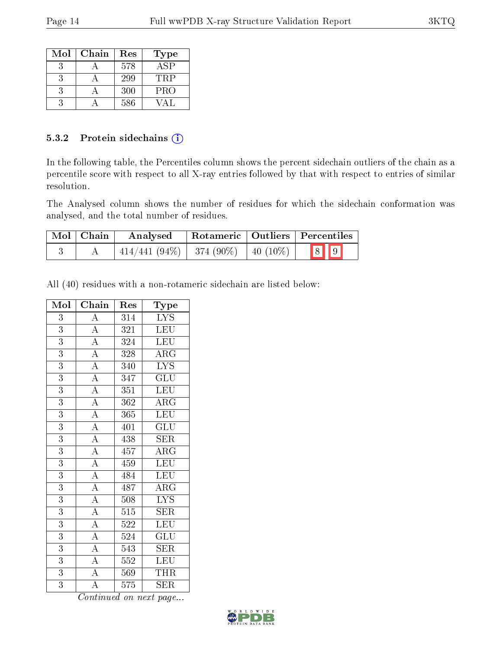| $\operatorname{Mol}$ | Chain | Res | Type       |
|----------------------|-------|-----|------------|
|                      |       | 578 | ASP        |
|                      |       | 299 | TRP        |
|                      |       | 300 | <b>PRO</b> |
|                      |       | 586 |            |

#### 5.3.2 Protein sidechains (i)

In the following table, the Percentiles column shows the percent sidechain outliers of the chain as a percentile score with respect to all X-ray entries followed by that with respect to entries of similar resolution.

The Analysed column shows the number of residues for which the sidechain conformation was analysed, and the total number of residues.

| Mol   Chain | Analysed                                   | Rotameric   Outliers   Percentiles |  |                         |  |
|-------------|--------------------------------------------|------------------------------------|--|-------------------------|--|
|             | $-414/441 (94\%)$   374 (90\%)   40 (10\%) |                                    |  | $\boxed{8}$ $\boxed{9}$ |  |

All (40) residues with a non-rotameric sidechain are listed below:

| Mol            | Chain                               | Res              | Type                    |
|----------------|-------------------------------------|------------------|-------------------------|
| 3              | $\overline{A}$                      | 314              | $\overline{\text{LYS}}$ |
| $\overline{3}$ |                                     | 321              | <b>LEU</b>              |
| $\overline{3}$ |                                     | 324              | LEU                     |
| $\overline{3}$ | $\frac{\overline{A}}{\overline{A}}$ | $\overline{328}$ | $\overline{\rm{ARG}}$   |
| 3              | $\overline{A}$                      | 340              | $\overline{\text{LYS}}$ |
| $\overline{3}$ | $\overline{A}$                      | 347              | $\overline{\text{GLU}}$ |
| $\overline{3}$ | $\overline{A}$                      | 351              | LEU                     |
| $\overline{3}$ | $\overline{A}$                      | 362              | $\overline{\rm ARG}$    |
| $\overline{3}$ | $\frac{\overline{A}}{\overline{A}}$ | 365              | LEU                     |
| 3              |                                     | 401              | GLU                     |
| $\overline{3}$ | $\frac{\overline{A}}{\overline{A}}$ | 438              | SER                     |
| 3              |                                     | 457              | $\overline{\rm{ARG}}$   |
| $\overline{3}$ |                                     | 459              | LEU                     |
| $\overline{3}$ | $\overline{A}$                      | 484              | <b>LEU</b>              |
| $\overline{3}$ | $\overline{A}$                      | 487              | $\overline{\text{ARG}}$ |
| $\overline{3}$ | $\overline{A}$                      | 508              | <b>LYS</b>              |
| 3              | $\overline{A}$                      | $515\,$          | <b>SER</b>              |
| $\overline{3}$ | $\overline{A}$                      | 522              | $\overline{\text{LEU}}$ |
| 3              | $\overline{A}$                      | 524              | GLU                     |
| 3              | $\frac{\overline{A}}{\overline{A}}$ | 543              | $\overline{\text{SER}}$ |
| $\overline{3}$ |                                     | $\overline{552}$ | LEU                     |
| $\overline{3}$ | $\overline{A}$                      | 569              | THR                     |
| 3              | $\overline{\rm A}$                  | 575              | $\overline{\text{SER}}$ |

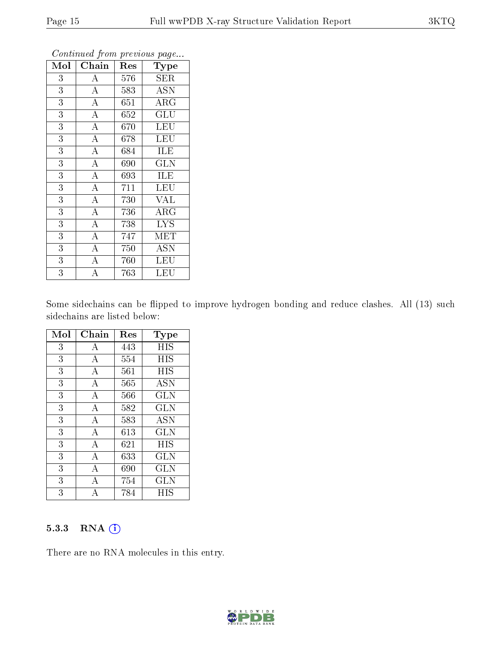| Mol            | Chain              | Res | Type                    |
|----------------|--------------------|-----|-------------------------|
| 3              | $\boldsymbol{A}$   | 576 | <b>SER</b>              |
| 3              | $\overline{\rm A}$ | 583 | <b>ASN</b>              |
| $\overline{3}$ | $\overline{A}$     | 651 | $\rm{ARG}$              |
| $\overline{3}$ | $\overline{\rm A}$ | 652 | GLU                     |
| $\overline{3}$ | $\overline{\rm A}$ | 670 | $\overline{\text{LEU}}$ |
| $\overline{3}$ | $\overline{A}$     | 678 | LEU                     |
| $\overline{3}$ | $\overline{\rm A}$ | 684 | <b>ILE</b>              |
| $\overline{3}$ | $\overline{A}$     | 690 | GLN                     |
| $\overline{3}$ | $\overline{\rm A}$ | 693 | ILE                     |
| $\overline{3}$ | $\overline{A}$     | 711 | <b>LEU</b>              |
| 3              | $\overline{A}$     | 730 | VAL                     |
| $\overline{3}$ | $\overline{A}$     | 736 | $\overline{\rm{ARG}}$   |
| $\overline{3}$ | $\overline{A}$     | 738 | <b>LYS</b>              |
| 3              | $\overline{\rm A}$ | 747 | MET                     |
| 3              | $\overline{\rm A}$ | 750 | <b>ASN</b>              |
| 3              | $\bf{A}$           | 760 | LEU                     |
| $\overline{3}$ | A                  | 763 | LEU                     |

Some sidechains can be flipped to improve hydrogen bonding and reduce clashes. All (13) such sidechains are listed below:

| Mol | Chain          | Res | $_{\rm Type}$ |
|-----|----------------|-----|---------------|
| 3   | А              | 443 | HIS           |
| 3   | A              | 554 | HIS           |
| 3   | A              | 561 | <b>HIS</b>    |
| 3   | A              | 565 | <b>ASN</b>    |
| 3   | $\bf{A}$       | 566 | $_{\rm GLN}$  |
| 3   | A              | 582 | <b>GLN</b>    |
| 3   | $\overline{A}$ | 583 | <b>ASN</b>    |
| 3   | $\bf{A}$       | 613 | GLN           |
| 3   | А              | 621 | HIS           |
| 3   | A              | 633 | GLN           |
| 3   | $\overline{A}$ | 690 | GLN           |
| 3   | А              | 754 | GLN           |
| 3   |                | 784 | НIS           |

#### 5.3.3 RNA [O](https://www.wwpdb.org/validation/2017/XrayValidationReportHelp#rna)i

There are no RNA molecules in this entry.

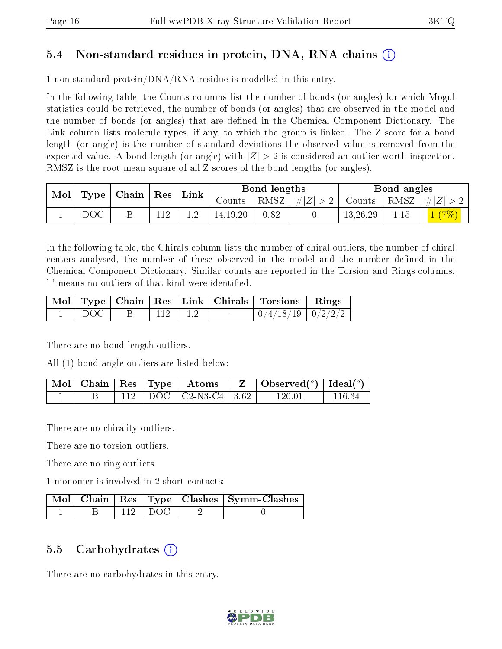### 5.4 Non-standard residues in protein, DNA, RNA chains (i)

1 non-standard protein/DNA/RNA residue is modelled in this entry.

In the following table, the Counts columns list the number of bonds (or angles) for which Mogul statistics could be retrieved, the number of bonds (or angles) that are observed in the model and the number of bonds (or angles) that are dened in the Chemical Component Dictionary. The Link column lists molecule types, if any, to which the group is linked. The Z score for a bond length (or angle) is the number of standard deviations the observed value is removed from the expected value. A bond length (or angle) with  $|Z| > 2$  is considered an outlier worth inspection. RMSZ is the root-mean-square of all Z scores of the bond lengths (or angles).

| $\operatorname{Mol}_+$ |     | $\mid$ Type $\mid$ Chain $\mid$ Res $\mid$ |  | $^+$ Link | Bond lengths |      |                                                                  | Bond angles |      |                    |
|------------------------|-----|--------------------------------------------|--|-----------|--------------|------|------------------------------------------------------------------|-------------|------|--------------------|
|                        |     |                                            |  |           | Counts       |      | $\mid$ RMSZ $\mid \#Z \mid > 2$ $\mid$ Counts $\mid$ RMSZ $\mid$ |             |      | $\vert \#  Z  > 2$ |
|                        | DOC |                                            |  |           | 14.19.20     | 0.82 |                                                                  | 13,26,29    | 1.15 | 1(7%)              |

In the following table, the Chirals column lists the number of chiral outliers, the number of chiral centers analysed, the number of these observed in the model and the number defined in the Chemical Component Dictionary. Similar counts are reported in the Torsion and Rings columns. '-' means no outliers of that kind were identified.

|       |  |             | Mol   Type   Chain   Res   Link   Chirals   Torsions   Rings |  |
|-------|--|-------------|--------------------------------------------------------------|--|
| DOC - |  | $112$   1.2 |                                                              |  |

There are no bond length outliers.

All (1) bond angle outliers are listed below:

|  |  | $\pm \mathrm{Mol} \parallel \mathrm{Chain} \parallel \mathrm{Res} \parallel \mathrm{Type} \parallel \mathrm{Atoms}$ | $\vert$ Observed $(^\circ)$ $\vert$ Ideal $(^\circ)$ |        |
|--|--|---------------------------------------------------------------------------------------------------------------------|------------------------------------------------------|--------|
|  |  | DOC   C2-N3-C4   3.62                                                                                               | 120 01                                               | 116.34 |

There are no chirality outliers.

There are no torsion outliers.

There are no ring outliers.

1 monomer is involved in 2 short contacts:

|  |           | Mol   Chain   Res   Type   Clashes   Symm-Clashes |
|--|-----------|---------------------------------------------------|
|  | $112$ DOC |                                                   |

### 5.5 Carbohydrates  $(i)$

There are no carbohydrates in this entry.

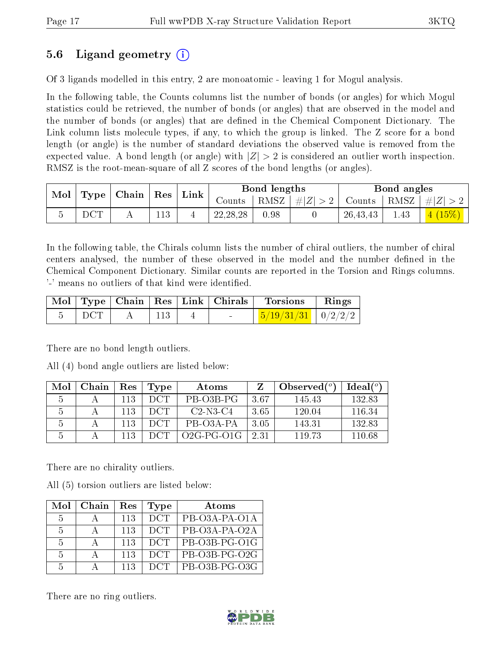### 5.6 Ligand geometry (i)

Of 3 ligands modelled in this entry, 2 are monoatomic - leaving 1 for Mogul analysis.

In the following table, the Counts columns list the number of bonds (or angles) for which Mogul statistics could be retrieved, the number of bonds (or angles) that are observed in the model and the number of bonds (or angles) that are dened in the Chemical Component Dictionary. The Link column lists molecule types, if any, to which the group is linked. The Z score for a bond length (or angle) is the number of standard deviations the observed value is removed from the expected value. A bond length (or angle) with  $|Z| > 2$  is considered an outlier worth inspection. RMSZ is the root-mean-square of all Z scores of the bond lengths (or angles).

| Mol | $\perp$ Type $\parallel$ Chain $\parallel$ Res $\parallel$ |  | $^+$ Link | Bond lengths |            |      | Bond angles |               |      |           |
|-----|------------------------------------------------------------|--|-----------|--------------|------------|------|-------------|---------------|------|-----------|
|     |                                                            |  |           |              | Counts     | RMSZ | #Z  > 2     | Counts   RMSZ |      | $\pm  Z $ |
|     | $_{\mathrm{DCT}}$                                          |  | 113       |              | 22, 28, 28 | 0.98 |             | 26,43,43      | 1.43 |           |

In the following table, the Chirals column lists the number of chiral outliers, the number of chiral centers analysed, the number of these observed in the model and the number defined in the Chemical Component Dictionary. Similar counts are reported in the Torsion and Rings columns. '-' means no outliers of that kind were identified.

|                    |                 |                          | Mol   Type   Chain   Res   Link   Chirals   Torsions   Rings |  |
|--------------------|-----------------|--------------------------|--------------------------------------------------------------|--|
| $\overline{C}$ DCT | $\parallel$ 113 | <b>Contract Contract</b> | $\frac{5}{19/31/31}$   0/2/2/2                               |  |

There are no bond length outliers.

All (4) bond angle outliers are listed below:

| Mol | Chain | Res | Type | Atoms        |      | Observed $(°)$ | Ideal(°) |
|-----|-------|-----|------|--------------|------|----------------|----------|
|     |       | 113 | DCT. | PB-03B-PG    | 3.67 | 145.43         | 132.83   |
|     |       | 113 | DCT. | $C2-N3-C4$   | 3.65 | 120.04         | 116.34   |
|     |       | 113 | DCT. | PB-03A-PA    | 3.05 | 143.31         | 132.83   |
|     |       | 113 | DCT  | $O2G-PG-O1G$ | 2.31 | 119 73         | 110.68   |

There are no chirality outliers.

All (5) torsion outliers are listed below:

| Mol           | Chain | Res | <b>Type</b> | Atoms           |
|---------------|-------|-----|-------------|-----------------|
| 5             |       | 113 | <b>DCT</b>  | PB-O3A-PA-O1A   |
| $\frac{5}{2}$ |       | 113 | <b>DCT</b>  | PB-O3A-PA-O2A   |
| 5             |       | 113 | <b>DCT</b>  | PB-O3B-PG-O1G   |
| $-5$          |       | 113 | DCT.        | PB-O3B-PG-O2G   |
| .5            |       | 113 | DCT.        | $PB-O3B-PG-O3G$ |

There are no ring outliers.

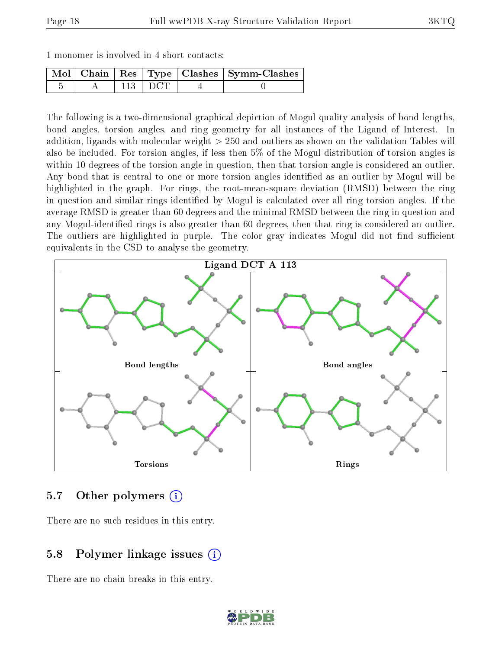|  | 1 monomer is involved in 4 short contacts: |  |  |  |  |  |  |  |
|--|--------------------------------------------|--|--|--|--|--|--|--|
|--|--------------------------------------------|--|--|--|--|--|--|--|

|  |  | Mol   Chain   Res   Type   Clashes   Symm-Clashes |
|--|--|---------------------------------------------------|
|  |  |                                                   |

The following is a two-dimensional graphical depiction of Mogul quality analysis of bond lengths, bond angles, torsion angles, and ring geometry for all instances of the Ligand of Interest. In addition, ligands with molecular weight > 250 and outliers as shown on the validation Tables will also be included. For torsion angles, if less then 5% of the Mogul distribution of torsion angles is within 10 degrees of the torsion angle in question, then that torsion angle is considered an outlier. Any bond that is central to one or more torsion angles identified as an outlier by Mogul will be highlighted in the graph. For rings, the root-mean-square deviation (RMSD) between the ring in question and similar rings identified by Mogul is calculated over all ring torsion angles. If the average RMSD is greater than 60 degrees and the minimal RMSD between the ring in question and any Mogul-identied rings is also greater than 60 degrees, then that ring is considered an outlier. The outliers are highlighted in purple. The color gray indicates Mogul did not find sufficient equivalents in the CSD to analyse the geometry.



#### 5.7 [O](https://www.wwpdb.org/validation/2017/XrayValidationReportHelp#nonstandard_residues_and_ligands)ther polymers (i)

There are no such residues in this entry.

### 5.8 Polymer linkage issues (i)

There are no chain breaks in this entry.